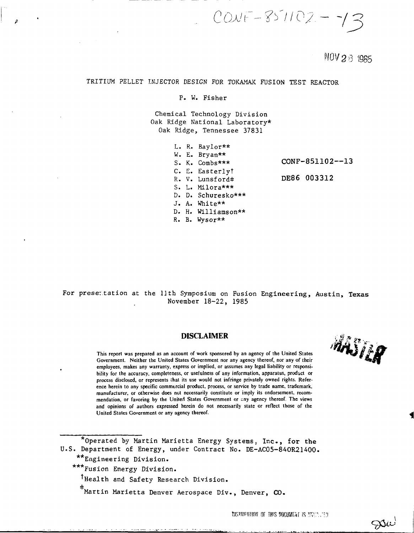$COWF - 851102 - 73$ 

 $NOV2 \land 985$ 

AASTER

Die

# TRITIUM PELLET INJECTOR DESIGN FOR TOKAMAK FUSION TEST REACTOR

## P. W. Fisher

Chemical Technology Division Oak Ridge National Laboratory\* Oak Ridge, Tennessee 37831

|  | L. R. Baylor**     |                 |
|--|--------------------|-----------------|
|  | W. E. Bryan**      |                 |
|  | S. K. Combs***     | CONF-851102--13 |
|  | C. E. Easterlyt    |                 |
|  | R. V. Lunsford#    | DE86 003312     |
|  | $S. L. Milora***$  |                 |
|  | D. D. Schuresko*** |                 |
|  | J. A. White**      |                 |
|  | D. H. Williamson** |                 |
|  | $R.$ B. Wysor**    |                 |
|  |                    |                 |

For presettation at the llth Symposium on Fusion Engineering, Austin, Texas November 18-22, 1985

## **DISCLAIMER**

**This report was prepared as an account of work sponsored by an agency of the United States Government. Neither the United States Government nor any agency thereof, nor any of their employees, makes any warranty, express or implied, or assumes any legal liability or responsibility for the accuracy, completeness, or usefulness of any information, apparatus, product or process disclosed, or represents that its use would not infringe privately owned rights. Reference herein to any specific commercial product, process, or service by trade name, trademark, manufacturer, or otherwise does not necessarily constitute or imply its endorsement, recommendation, or favoring by the United States Government or any agency thereof. The views and opinions of authors expressed herein do not necessarily state or reflect those of the United States Government or any agency thereof.**

\*0perated by Martin Marietta Energy Systems, Inc., for **the** U.S. Department of Energy, under Contract No. DE-AC05-84OR21400. \*\*Engineering Division.

\*\*\*Fusion Energy Division.

Thealth and Safety Research Division.

Martin Marietta Denver Aerospace Div., Denver, CO.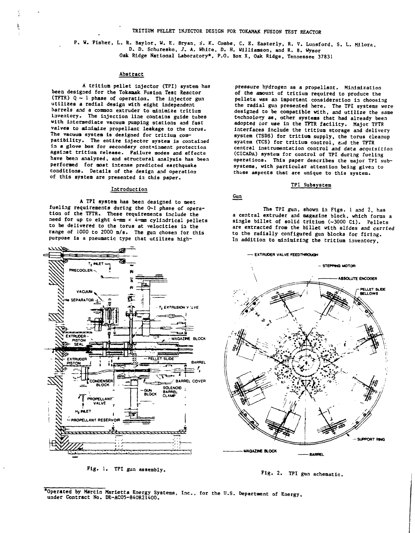P. W. Fisher, L. R. Baylor, W. E. Bryan, S. K. Combs, C. E. Easterly, R. V. Lunsford, S. L. Milora, **D. D. Schuresko, J. A. White, D. H. Willianaoa, and R. B. Wysor Oak Ridge National Laboratory\*, P.O. Box X, Oak Ridge, Tennessee 37831**

#### **Abstract**

**A tritium pellet injector (TPI) system has beea designed for the Tokamak Fusion Teat Reactor (TFTR) Q ~ 1 phase of operation. The injector gua utilizes a radial design with eight Independent barrels and a common extruder to minimize tritium inventory. The injection line contains guide tubes with Intermediate vacuum pumping stations aad fast valves to minimize propellant leakage to the torus. The vacuum system is designed for tritium compatibility. The entire injector system Is contained in a glove box for secondary containment protection against tritium release. Failure modes and effects have been analyzed, aad structural analysis has beea performed for most Intense predicted earthquake conditions. Details of the design and operation of this system are presented in this paper.**

### **Introduction**

**A TPI system has been designed to oeet fueling requirements during the Q~l phase of operation of the TFTR. These requirements Include the need for up to eight 4-mm \* 4-nm cylindrical pellets to be delivered to the torus at velocities la the range of 1000 to 2000 m/s. The gua chosen for this purpose Is a pneumatic type that utilizes high-**



**Fig. 1. TPI gun assembly.**

**pressure hydrogen as a propellant. Miaimlzatloa of the amount of tritium required to produce the pellets was an Important consideration la choosing the radial gun presented here. The TPI systems were designed to be compatible with, and utilize the sane t»chnolo\*y an, other systems that had already been adopted tor use la the TFTR facility. Major TFTR interfaces Include the tritium storage and delivery system (TSDS) for tritium supply, the torus cleanup syatea (TCS) for tritium control, e..id the TFTR central instrumentation control and data acquisition (CICADA) system for control of TPI during fueling operations. This paper describes the major TPI subsystems, with particular attention being given to those aspects that are unique to this system.**

#### **TPI Subsystem**

#### **Gun**

**The TPI gun, shown la Figs. 1 and 2, has a central extruder and magazine block, which forms a single billet of solid tritium (-3000 Ci). Pellets are extracted from the billet with slides and carried to the radially configured gun blocks for firing. In addition to minimizing the tritium inventory.**



**Fig. 2. TPI gua schematic.**

Operated by Marcin Marietta Energy Systems, Inc., for the U.S. Department of Energy,<br>under Contract No. DE-ACO5-840R21400.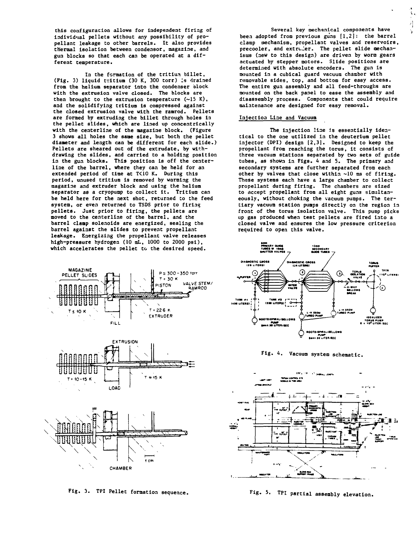**this configuration allows for independent firing of individual pellets without any possibility of propellant leakage to other barrels. It also provides thermal Isolation between condensor, magazine, and gun blocks so that each can be operated at a different temperature.**

**In the formation of the tritium billet, (Fig. 3) liquid tvitium (30 K, 300 torr) Is drained from the helium separator into the condenser block with the extrusion valve closed. The blocks are** then brought to the extrusion temperature  $(-15 K)$ , **and the solidifying tritium is compressed against the closed extrusion valve with the ramrod. Pellets are formed by extruding the billet through holes In the pellet slides, which are lined up concentrically with the centerline of the magazine block. (Figure 3 shows all holes the sane size, but both the pellet diameter and length can be different for each slide.) Pellets are sheared out of the extrudate, by withdrawing the slides, and carried to a holding position** in the gun blocks. This position is off the center**line of the barrel, where they can be held for an extended period of time at T<10 K. During this period, unused tritium Is removed by warming the magazine and extruder block and using the helium separator as a cryopunp to collect it. Tritium can be held here for the next shot, returned to the feed system, or even returned to TSDS prior to firing pellets. Just prior to firing, the pellets are moved Co the centerline of the barrel, and the barrel clamp solenoids are energized, sealing the** barrel against the slides to prevent propellant **leakage. Energizing the propellant valve releases high-pressure hydrogen (10 mL, 1000 to 2000 psi),** which accelerates the pellet to the desired speed.



**Fig. 3. TPI Pellec formation sequence. Fig. 5. TPI partial assembly elevation.**

**Several key mechanical components have been adopted from previous guns [1,2]: the barrel clamp mechanism, propellant valves and reservoirs,** precooler, and extruder. The pellet slide mechan**isms (new Co this design) are driven by worm gears actuated by stepper motors. Slide positions are determined with absolute encoders. The gun is mounted in a cubical guard vacuum chamber with removable sides, top, and bottom for easy access. Tlie entire gun assembly and all feed-throughs are mounted on the back panel to ease the assembly and disassembly process. Components that could require maintenance are designed for easy removal.**

ĩ. à.

### **Injection Line and Vacuum**

**The Injection line is essentially identical to the one utilized In the deuterium pellet injector (DPI) design [2,3]. Designed to keep the propellant from reaching the torus, it consists of three vacuum stations separated by two sets of guide tubes, as shown in Figs. 4 and S. The primary and secondary systems are further separated from each other by valves that close within ~10 ms of firing. These systems each have a large chamber to collect propellant during firing. The chambers are sized to accept propellant from all eight guns simultaneously, without choking the vacuum pumps. The tertiary vacuum station pumps directly on the region In** front of the torus isolation valve. This pump picks **up gas produced when Cest pellets are fired into a closed valve and ensures the low pressure criterion required to open this valve.**



**Fig. 4. Vacuum system schematic.**

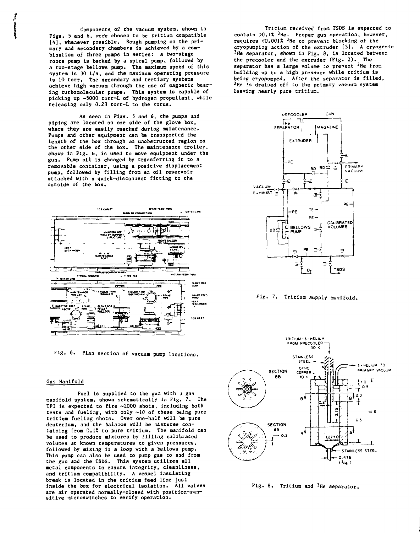**Components oi: the vacuum system, shown la** Figs. 5 and 6, were chosen to be tritium compatible **[4], whenever possible. Rough pumping on the primary and secondary chambers Is achieved by a combination of three punps in series: a two-stage roots pump Is backed by a spiral pump, followed by a two-stage bellows pump. The maximum speed of this system is 30 L/s, and the maximum operating pressure is 10 torr. The secondary and tertiary systems achieve high vacuum through the use of magnetic bearing turbomolecular puaps. This system is capable of picking up ~5000 torr-L of hydrogen propellant, while releasing only 0.23 torr-L to the torus.**

**As seen in Figs. 5 and 6, the pumps and piping are located on one side of the glove box, where they are easily reached during maintenance. Punps and other equipment can be transported the length of the box through an unobstructed region on the other side of the box. The maintenance trolley, shown in Fig. b, is used to move equipment under the gun. Pump oil Is changed by transferring it to a removable container, using a positive displacement pump, followed by filling from an oil reservoir attached with a quick-disconnect fitting to the outside of the box.**



**Fig. 6. Plan section of vacuum pump locations.**

### **Gas Manifold**

**Fuel Is supplied to the gun with a gas manifold system, shown schematically In Fig. 7. The TPI Is expected to fire ~2000 shots, Including both tests and fueling, with only ~10 of these being pure tritium fueling shots. Over one-half will be pure deuterium, and the balance will be mixtures containing from 0.12 to pure tritium. The manifold can be used to produce mixtures by filling calibrated volumes at known temperatures to given pressures, followed by mixing in a loop with a bellows pump. This pump can also be used to pump gas to and from the gun and the TSDS. This system utilizes all metal components to ensure Integrity, cleanliness, and tritium compatibility. A vespel Insulating break is located in the tritium feed line just inside the box for electrical isolation. All valves are air operated normally-closed with position-sen**are air operated normally-closed with position-sen-<br>sitive microswitches to verify operation.

**Tritium received from TSDS is expected to contain >0.lX <sup>3</sup>He. Proper gun operation, however, requires <0.001Z <sup>3</sup>He to prevent blocking of the cryopumping action of the extruder [5], A cryogenic <sup>3</sup>He separator, shown in Fig. 8, is located between the precooler and the extruder (Fig. 2). The separator has a large volume to prevent <sup>3</sup>He from building up to a high pressure while tritium is being cryopumped. After the separator is filled, <sup>3</sup>He Is drained off to the primary vacuum system leaving nearly pure tritium.**



**fig. 7. Tritium supply manifold.**



**Fig. 8. Tritium and <sup>3</sup>He separator.**